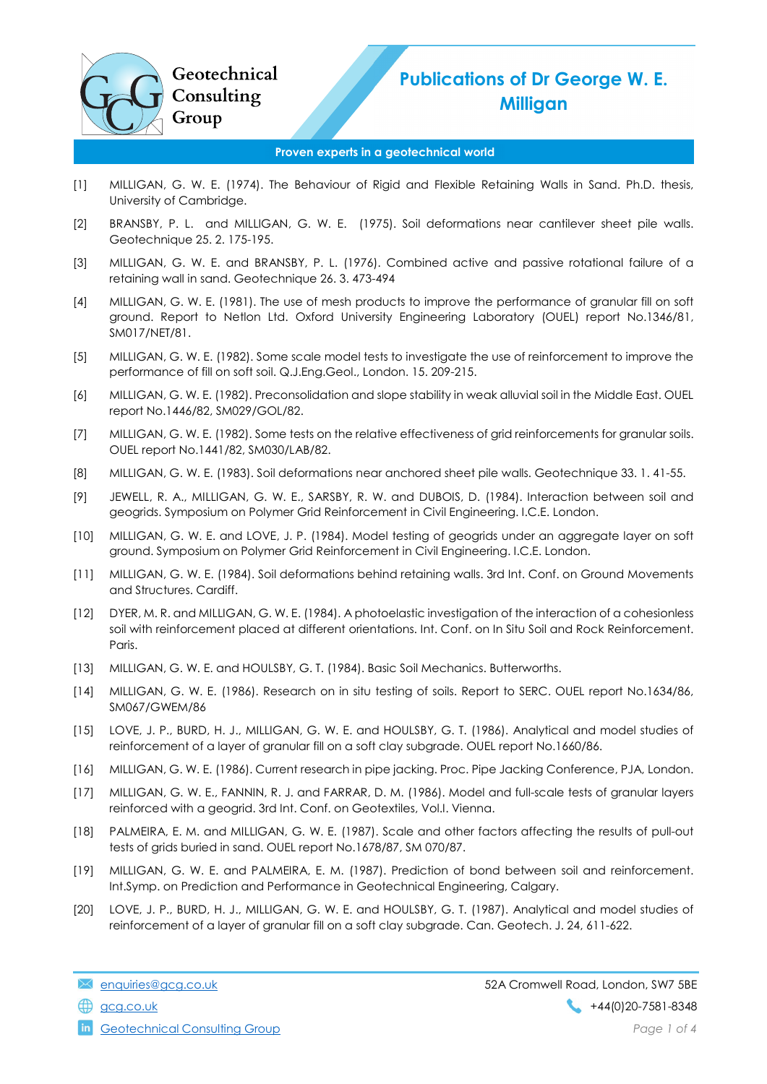## Publications of Dr George W. E. Milligan

## Proven experts in a geotechnical world

- [1] MILLIGAN, G. W. E. (1974). The Behaviour of Rigid and Flexible Retaining Walls in Sand. Ph.D. thesis, University of Cambridge.
- [2] BRANSBY, P. L. and MILLIGAN, G. W. E. (1975). Soil deformations near cantilever sheet pile walls. Geotechnique 25. 2. 175-195.
- [3] MILLIGAN, G. W. E. and BRANSBY, P. L. (1976). Combined active and passive rotational failure of a retaining wall in sand. Geotechnique 26. 3. 473-494
- [4] MILLIGAN, G. W. E. (1981). The use of mesh products to improve the performance of granular fill on soft ground. Report to Netlon Ltd. Oxford University Engineering Laboratory (OUEL) report No.1346/81, SM017/NET/81.
- [5] MILLIGAN, G. W. E. (1982). Some scale model tests to investigate the use of reinforcement to improve the performance of fill on soft soil. Q.J.Eng.Geol., London. 15. 209-215.
- [6] MILLIGAN, G. W. E. (1982). Preconsolidation and slope stability in weak alluvial soil in the Middle East. OUEL report No.1446/82, SM029/GOL/82.
- [7] MILLIGAN, G. W. E. (1982). Some tests on the relative effectiveness of grid reinforcements for granular soils. OUEL report No.1441/82, SM030/LAB/82.
- [8] MILLIGAN, G. W. E. (1983). Soil deformations near anchored sheet pile walls. Geotechnique 33. 1. 41-55.
- [9] JEWELL, R. A., MILLIGAN, G. W. E., SARSBY, R. W. and DUBOIS, D. (1984). Interaction between soil and geogrids. Symposium on Polymer Grid Reinforcement in Civil Engineering. I.C.E. London.
- [10] MILLIGAN, G. W. E. and LOVE, J. P. (1984). Model testing of geogrids under an aggregate layer on soft ground. Symposium on Polymer Grid Reinforcement in Civil Engineering. I.C.E. London.
- [11] MILLIGAN, G. W. E. (1984). Soil deformations behind retaining walls. 3rd Int. Conf. on Ground Movements and Structures. Cardiff.
- [12] DYER, M. R. and MILLIGAN, G. W. E. (1984). A photoelastic investigation of the interaction of a cohesionless soil with reinforcement placed at different orientations. Int. Conf. on In Situ Soil and Rock Reinforcement. Paris.
- [13] MILLIGAN, G. W. E. and HOULSBY, G. T. (1984). Basic Soil Mechanics. Butterworths.
- [14] MILLIGAN, G. W. E. (1986). Research on in situ testing of soils. Report to SERC. OUEL report No.1634/86, SM067/GWEM/86
- [15] LOVE, J. P., BURD, H. J., MILLIGAN, G. W. E. and HOULSBY, G. T. (1986). Analytical and model studies of reinforcement of a layer of granular fill on a soft clay subgrade. OUEL report No.1660/86.
- [16] MILLIGAN, G. W. E. (1986). Current research in pipe jacking. Proc. Pipe Jacking Conference, PJA, London.
- [17] MILLIGAN, G. W. E., FANNIN, R. J. and FARRAR, D. M. (1986). Model and full-scale tests of granular layers reinforced with a geogrid. 3rd Int. Conf. on Geotextiles, Vol.I. Vienna.
- [18] PALMEIRA, E. M. and MILLIGAN, G. W. E. (1987). Scale and other factors affecting the results of pull-out tests of grids buried in sand. OUEL report No.1678/87, SM 070/87.
- [19] MILLIGAN, G. W. E. and PALMEIRA, E. M. (1987). Prediction of bond between soil and reinforcement. Int.Symp. on Prediction and Performance in Geotechnical Engineering, Calgary.
- [20] LOVE, J. P., BURD, H. J., MILLIGAN, G. W. E. and HOULSBY, G. T. (1987). Analytical and model studies of reinforcement of a layer of granular fill on a soft clay subgrade. Can. Geotech. J. 24, 611-622.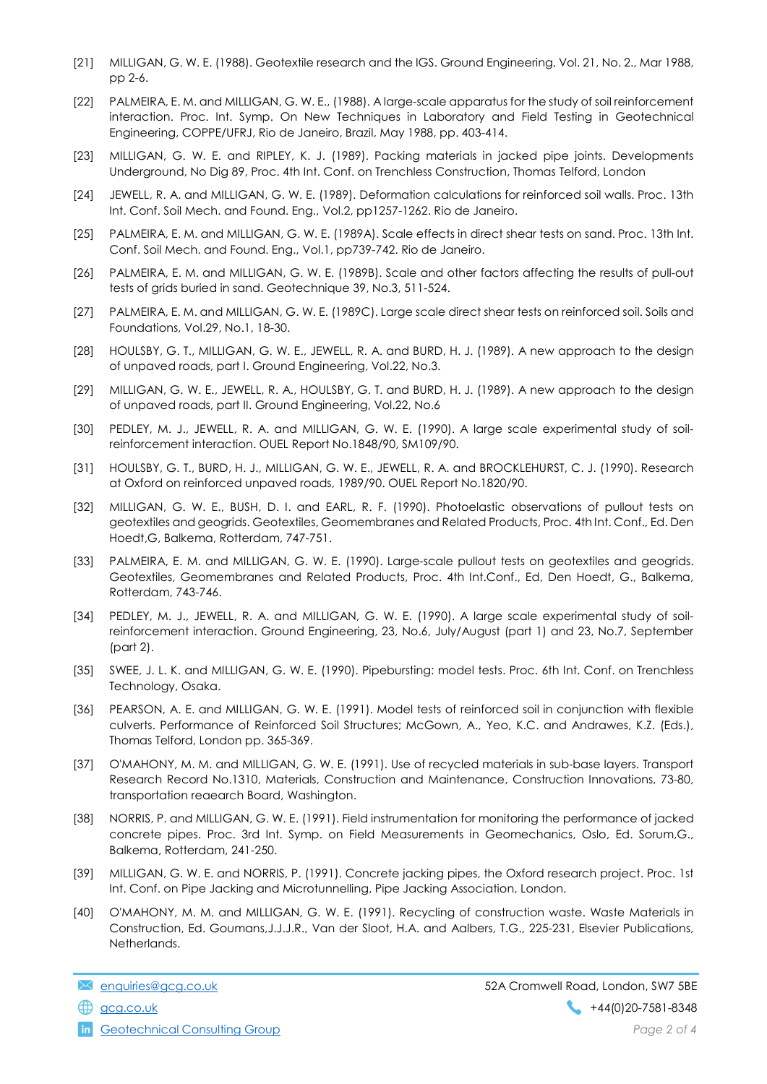- [21] MILLIGAN, G. W. E. (1988). Geotextile research and the IGS. Ground Engineering, Vol. 21, No. 2., Mar 1988, pp 2-6.
- [22] PALMEIRA, E. M. and MILLIGAN, G. W. E., (1988). A large-scale apparatus for the study of soil reinforcement interaction. Proc. Int. Symp. On New Techniques in Laboratory and Field Testing in Geotechnical Engineering, COPPE/UFRJ, Rio de Janeiro, Brazil, May 1988, pp. 403-414.
- [23] MILLIGAN, G. W. E. and RIPLEY, K. J. (1989). Packing materials in jacked pipe joints. Developments Underground, No Dig 89, Proc. 4th Int. Conf. on Trenchless Construction, Thomas Telford, London
- [24] JEWELL, R. A. and MILLIGAN, G. W. E. (1989). Deformation calculations for reinforced soil walls. Proc. 13th Int. Conf. Soil Mech. and Found. Eng., Vol.2, pp1257-1262. Rio de Janeiro.
- [25] PALMEIRA, E. M. and MILLIGAN, G. W. E. (1989A). Scale effects in direct shear tests on sand. Proc. 13th Int. Conf. Soil Mech. and Found. Eng., Vol.1, pp739-742. Rio de Janeiro.
- [26] PALMEIRA, E. M. and MILLIGAN, G. W. E. (1989B). Scale and other factors affecting the results of pull-out tests of grids buried in sand. Geotechnique 39, No.3, 511-524.
- [27] PALMEIRA, E. M. and MILLIGAN, G. W. E. (1989C). Large scale direct shear tests on reinforced soil. Soils and Foundations, Vol.29, No.1, 18-30.
- [28] HOULSBY, G. T., MILLIGAN, G. W. E., JEWELL, R. A. and BURD, H. J. (1989). A new approach to the design of unpaved roads, part I. Ground Engineering, Vol.22, No.3.
- [29] MILLIGAN, G. W. E., JEWELL, R. A., HOULSBY, G. T. and BURD, H. J. (1989). A new approach to the design of unpaved roads, part II. Ground Engineering, Vol.22, No.6
- [30] PEDLEY, M. J., JEWELL, R. A. and MILLIGAN, G. W. E. (1990). A large scale experimental study of soilreinforcement interaction. OUEL Report No.1848/90, SM109/90.
- [31] HOULSBY, G. T., BURD, H. J., MILLIGAN, G. W. E., JEWELL, R. A. and BROCKLEHURST, C. J. (1990). Research at Oxford on reinforced unpaved roads, 1989/90. OUEL Report No.1820/90.
- [32] MILLIGAN, G. W. E., BUSH, D. I. and EARL, R. F. (1990). Photoelastic observations of pullout tests on geotextiles and geogrids. Geotextiles, Geomembranes and Related Products, Proc. 4th Int. Conf., Ed. Den Hoedt,G, Balkema, Rotterdam, 747-751.
- [33] PALMEIRA, E. M. and MILLIGAN, G. W. E. (1990). Large-scale pullout tests on geotextiles and geogrids. Geotextiles, Geomembranes and Related Products, Proc. 4th Int.Conf., Ed, Den Hoedt, G., Balkema, Rotterdam, 743-746.
- [34] PEDLEY, M. J., JEWELL, R. A. and MILLIGAN, G. W. E. (1990). A large scale experimental study of soilreinforcement interaction. Ground Engineering, 23, No.6, July/August (part 1) and 23, No.7, September (part 2).
- [35] SWEE, J. L. K. and MILLIGAN, G. W. E. (1990). Pipebursting: model tests. Proc. 6th Int. Conf. on Trenchless Technology, Osaka.
- [36] PEARSON, A. E. and MILLIGAN, G. W. E. (1991). Model tests of reinforced soil in conjunction with flexible culverts. Performance of Reinforced Soil Structures; McGown, A., Yeo, K.C. and Andrawes, K.Z. (Eds.), Thomas Telford, London pp. 365-369.
- [37] O'MAHONY, M. M. and MILLIGAN, G. W. E. (1991). Use of recycled materials in sub-base layers. Transport Research Record No.1310, Materials, Construction and Maintenance, Construction Innovations, 73-80, transportation reaearch Board, Washington.
- [38] NORRIS, P. and MILLIGAN, G. W. E. (1991). Field instrumentation for monitoring the performance of jacked concrete pipes. Proc. 3rd Int. Symp. on Field Measurements in Geomechanics, Oslo, Ed. Sorum,G., Balkema, Rotterdam, 241-250.
- [39] MILLIGAN, G. W. E. and NORRIS, P. (1991). Concrete jacking pipes, the Oxford research project. Proc. 1st Int. Conf. on Pipe Jacking and Microtunnelling, Pipe Jacking Association, London.
- [40] O'MAHONY, M. M. and MILLIGAN, G. W. E. (1991). Recycling of construction waste. Waste Materials in Construction, Ed. Goumans,J.J.J.R., Van der Sloot, H.A. and Aalbers, T.G., 225-231, Elsevier Publications, Netherlands.

**in** Geotechnical Consulting Group **Page 2 of 4** and  $P$  and  $P$  and  $P$  and  $P$  and  $P$  and  $P$  and  $P$  and  $P$  and  $P$  and  $P$  and  $P$  and  $P$  and  $P$  and  $P$  and  $P$  and  $P$  and  $P$  and  $P$  and  $P$  and  $P$  and  $P$  and

enquiries@gcg.co.uk 52A Cromwell Road, London, SW7 5BE gcg.co.uk +44(0)20-7581-8348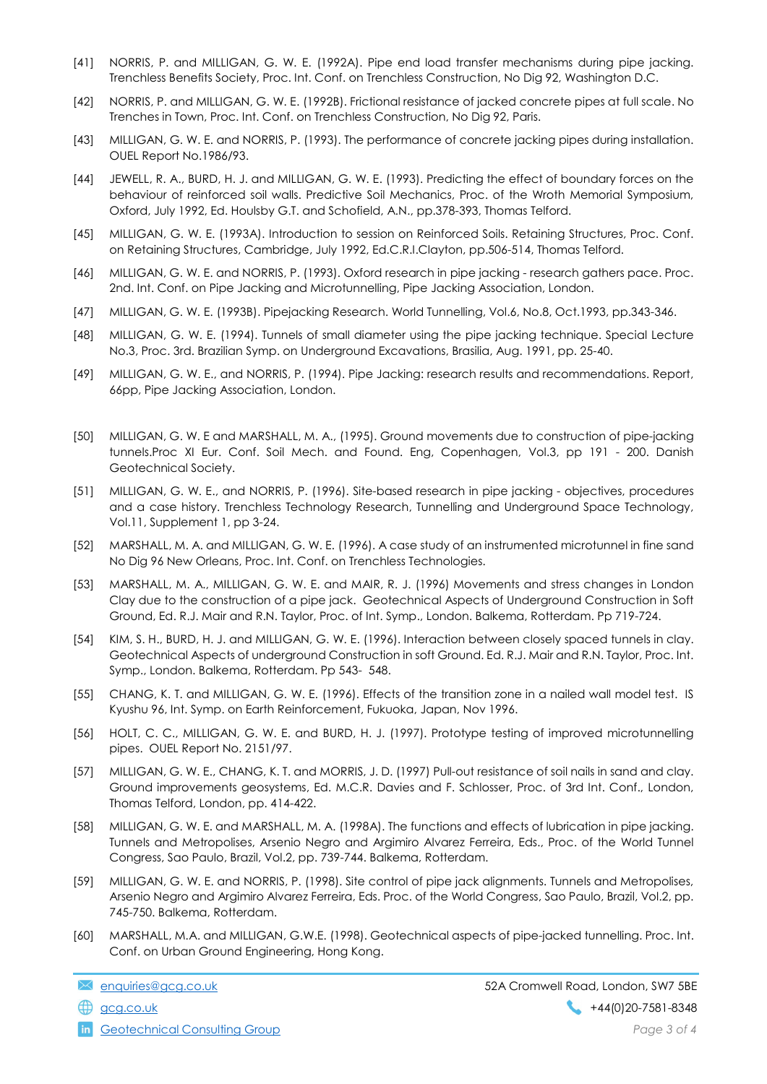- [41] NORRIS, P. and MILLIGAN, G. W. E. (1992A). Pipe end load transfer mechanisms during pipe jacking. Trenchless Benefits Society, Proc. Int. Conf. on Trenchless Construction, No Dig 92, Washington D.C.
- [42] NORRIS, P. and MILLIGAN, G. W. E. (1992B). Frictional resistance of jacked concrete pipes at full scale. No Trenches in Town, Proc. Int. Conf. on Trenchless Construction, No Dig 92, Paris.
- [43] MILLIGAN, G. W. E. and NORRIS, P. (1993). The performance of concrete jacking pipes during installation. OUEL Report No.1986/93.
- [44] JEWELL, R. A., BURD, H. J. and MILLIGAN, G. W. E. (1993). Predicting the effect of boundary forces on the behaviour of reinforced soil walls. Predictive Soil Mechanics, Proc. of the Wroth Memorial Symposium, Oxford, July 1992, Ed. Houlsby G.T. and Schofield, A.N., pp.378-393, Thomas Telford.
- [45] MILLIGAN, G. W. E. (1993A). Introduction to session on Reinforced Soils. Retaining Structures, Proc. Conf. on Retaining Structures, Cambridge, July 1992, Ed.C.R.I.Clayton, pp.506-514, Thomas Telford.
- [46] MILLIGAN, G. W. E. and NORRIS, P. (1993). Oxford research in pipe jacking research gathers pace. Proc. 2nd. Int. Conf. on Pipe Jacking and Microtunnelling, Pipe Jacking Association, London.
- [47] MILLIGAN, G. W. E. (1993B). Pipejacking Research. World Tunnelling, Vol.6, No.8, Oct.1993, pp.343-346.
- [48] MILLIGAN, G. W. E. (1994). Tunnels of small diameter using the pipe jacking technique. Special Lecture No.3, Proc. 3rd. Brazilian Symp. on Underground Excavations, Brasilia, Aug. 1991, pp. 25-40.
- [49] MILLIGAN, G. W. E., and NORRIS, P. (1994). Pipe Jacking: research results and recommendations. Report, 66pp, Pipe Jacking Association, London.
- [50] MILLIGAN, G. W. E and MARSHALL, M. A., (1995). Ground movements due to construction of pipe-jacking tunnels.Proc XI Eur. Conf. Soil Mech. and Found. Eng, Copenhagen, Vol.3, pp 191 - 200. Danish Geotechnical Society.
- [51] MILLIGAN, G. W. E., and NORRIS, P. (1996). Site-based research in pipe jacking objectives, procedures and a case history. Trenchless Technology Research, Tunnelling and Underground Space Technology, Vol.11, Supplement 1, pp 3-24.
- [52] MARSHALL, M. A. and MILLIGAN, G. W. E. (1996). A case study of an instrumented microtunnel in fine sand No Dig 96 New Orleans, Proc. Int. Conf. on Trenchless Technologies.
- [53] MARSHALL, M. A., MILLIGAN, G. W. E. and MAIR, R. J. (1996) Movements and stress changes in London Clay due to the construction of a pipe jack. Geotechnical Aspects of Underground Construction in Soft Ground, Ed. R.J. Mair and R.N. Taylor, Proc. of Int. Symp., London. Balkema, Rotterdam. Pp 719-724.
- [54] KIM, S. H., BURD, H. J. and MILLIGAN, G. W. E. (1996). Interaction between closely spaced tunnels in clay. Geotechnical Aspects of underground Construction in soft Ground. Ed. R.J. Mair and R.N. Taylor, Proc. Int. Symp., London. Balkema, Rotterdam. Pp 543- 548.
- [55] CHANG, K. T. and MILLIGAN, G. W. E. (1996). Effects of the transition zone in a nailed wall model test. IS Kyushu 96, Int. Symp. on Earth Reinforcement, Fukuoka, Japan, Nov 1996.
- [56] HOLT, C. C., MILLIGAN, G. W. E. and BURD, H. J. (1997). Prototype testing of improved microtunnelling pipes. OUEL Report No. 2151/97.
- [57] MILLIGAN, G. W. E., CHANG, K. T. and MORRIS, J. D. (1997) Pull-out resistance of soil nails in sand and clay. Ground improvements geosystems, Ed. M.C.R. Davies and F. Schlosser, Proc. of 3rd Int. Conf., London, Thomas Telford, London, pp. 414-422.
- [58] MILLIGAN, G. W. E. and MARSHALL, M. A. (1998A). The functions and effects of lubrication in pipe jacking. Tunnels and Metropolises, Arsenio Negro and Argimiro Alvarez Ferreira, Eds., Proc. of the World Tunnel Congress, Sao Paulo, Brazil, Vol.2, pp. 739-744. Balkema, Rotterdam.
- [59] MILLIGAN, G. W. E. and NORRIS, P. (1998). Site control of pipe jack alignments. Tunnels and Metropolises, Arsenio Negro and Argimiro Alvarez Ferreira, Eds. Proc. of the World Congress, Sao Paulo, Brazil, Vol.2, pp. 745-750. Balkema, Rotterdam.
- [60] MARSHALL, M.A. and MILLIGAN, G.W.E. (1998). Geotechnical aspects of pipe-jacked tunnelling. Proc. Int. Conf. on Urban Ground Engineering, Hong Kong.

**in** Geotechnical Consulting Group **Page 3 of 4** and  $P$  and  $P$  and  $P$  and  $P$  and  $P$  and  $P$  and  $P$  and  $P$  and  $P$  and  $P$  and  $P$  and  $P$  and  $P$  and  $P$  and  $P$  and  $P$  and  $P$  and  $P$  and  $P$  and  $P$  and  $P$  and

enquiries@gcg.co.uk 52A Cromwell Road, London, SW7 5BE gcg.co.uk +44(0)20-7581-8348